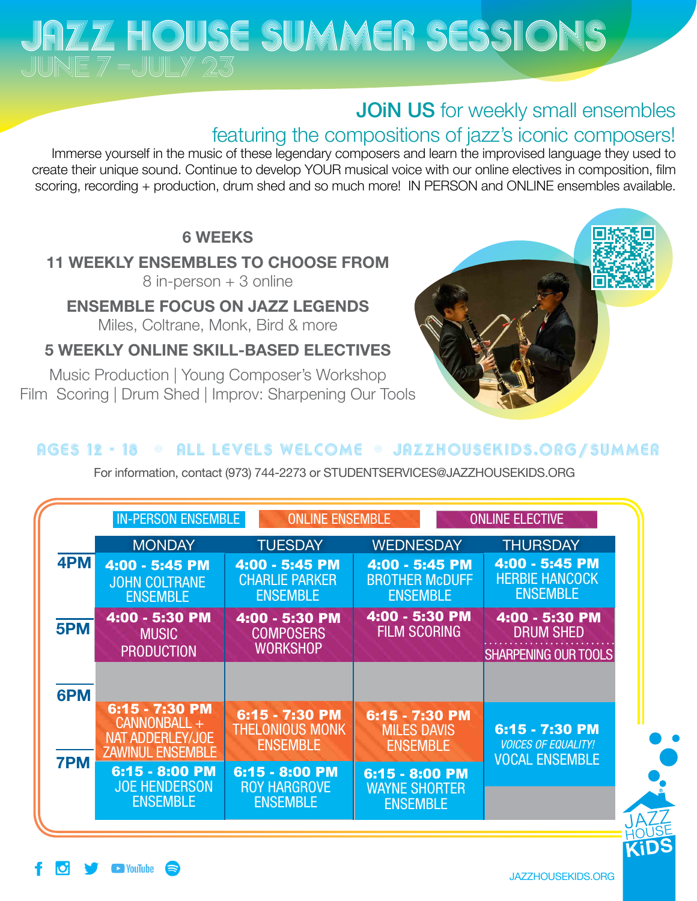# JAZZ HOUSE SUMMER SESSIONS

## JOIN US for weekly small ensembles

### featuring the compositions of jazz's iconic composers!

Immerse yourself in the music of these legendary composers and learn the improvised language they used to create their unique sound. Continue to develop YOUR musical voice with our online electives in composition, film scoring, recording + production, drum shed and so much more! IN PERSON and ONLINE ensembles available.

### 6 WEEKS

### 11 WEEKLY ENSEMBLES TO CHOOSE FROM

8 in-person + 3 online

ENSEMBLE FOCUS ON JAZZ LEGENDS

Miles, Coltrane, Monk, Bird & more

5 WEEKLY ONLINE SKILL-BASED ELECTIVES

Music Production | Young Composer's Workshop Film Scoring | Drum Shed | Improv: Sharpening Our Tools



### ages 12 - 18 · ALL LEVELS WELCOME · JAZZHOUSEKIDS.ORG/SUMMER

For information, contact (973) 744-2273 or [STUDENTSERVICES@JAZZHOUSEKIDS.ORG](mailto:STUDENTSERVICES%40JAZZHOUSEKIDS.ORG?subject=)

| <b>IN-PERSON ENSEMBLE</b> |                                                                               | <b>ONLINE ENSEMBLE</b>                                      |                                                            | <b>ONLINE ELECTIVE</b>                                                |
|---------------------------|-------------------------------------------------------------------------------|-------------------------------------------------------------|------------------------------------------------------------|-----------------------------------------------------------------------|
|                           | <b>MONDAY</b>                                                                 | <b>TUESDAY</b>                                              | <b>WEDNESDAY</b>                                           | <b>THURSDAY</b>                                                       |
| 4PM                       | 4:00 - 5:45 PM<br><b>JOHN COLTRANE</b><br><b>ENSEMBLE</b>                     | 4:00 - 5:45 PM<br><b>CHARLIE PARKER</b><br><b>ENSEMBLE</b>  | 4:00 - 5:45 PM<br><b>BROTHER McDUFF</b><br><b>ENSEMBLE</b> | 4:00 - 5:45 PM<br><b>HERBIE HANCOCK</b><br><b>ENSEMBLE</b>            |
| 5PM                       | 4:00 - 5:30 PM<br><b>MUSIC</b><br><b>PRODUCTION</b>                           | 4:00 - 5:30 PM<br><b>COMPOSERS</b><br><b>WORKSHOP</b>       | 4:00 - 5:30 PM<br><b>FILM SCORING</b>                      | 4:00 - 5:30 PM<br><b>DRUM SHED</b><br><b>SHARPENING OUR TOOLS</b>     |
| 6PM                       |                                                                               |                                                             |                                                            |                                                                       |
| <b>7PM</b>                | 6:15 - 7:30 PM<br>CANNONBALL +<br>NAT ADDERLEY/JOE<br><b>ZAWINUL ENSEMBLE</b> | 6:15 - 7:30 PM<br><b>THELONIOUS MONK</b><br><b>ENSEMBLE</b> | 6:15 - 7:30 PM<br><b>MILES DAVIS</b><br><b>ENSEMBLE</b>    | 6:15 - 7:30 PM<br><b>VOICES OF EQUALITY!</b><br><b>VOCAL ENSEMBLE</b> |
|                           | 6:15 - 8:00 PM<br><b>JOE HENDERSON</b><br><b>ENSEMBLE</b>                     | $6:15 - 8:00$ PM<br><b>ROY HARGROVE</b><br><b>ENSEMBLE</b>  | 6:15 - 8:00 PM<br><b>WAYNE SHORTER</b><br><b>ENSEMBLE</b>  |                                                                       |

**KIDS**